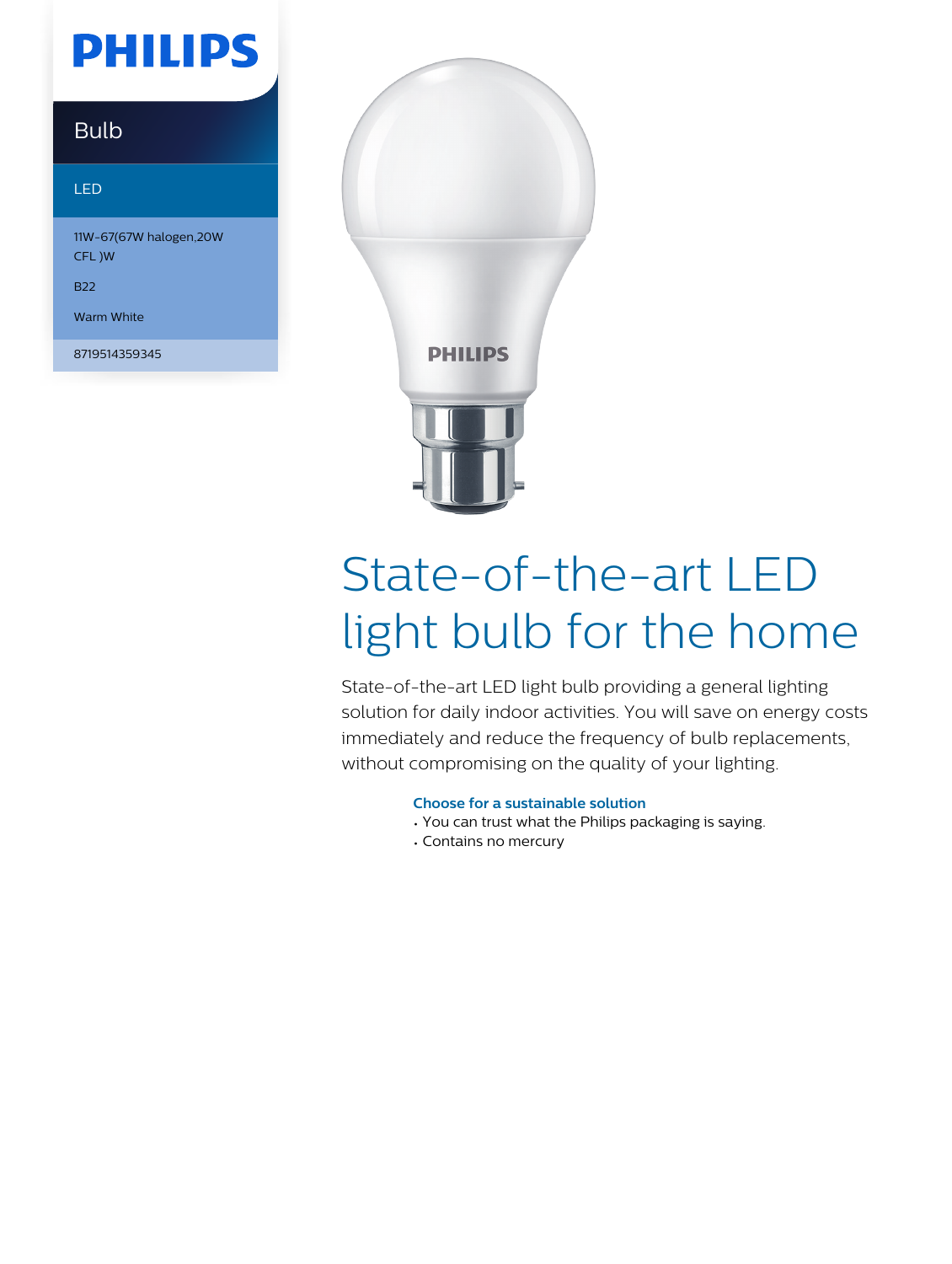## **PHILIPS**

### Bulb

#### LED

11W-67(67W halogen,20W CFL )W

B22

Warm White

8719514359345



# State-of-the-art LED light bulb for the home

State-of-the-art LED light bulb providing a general lighting solution for daily indoor activities. You will save on energy costs immediately and reduce the frequency of bulb replacements, without compromising on the quality of your lighting.

#### **Choose for a sustainable solution**

- You can trust what the Philips packaging is saying.
- Contains no mercury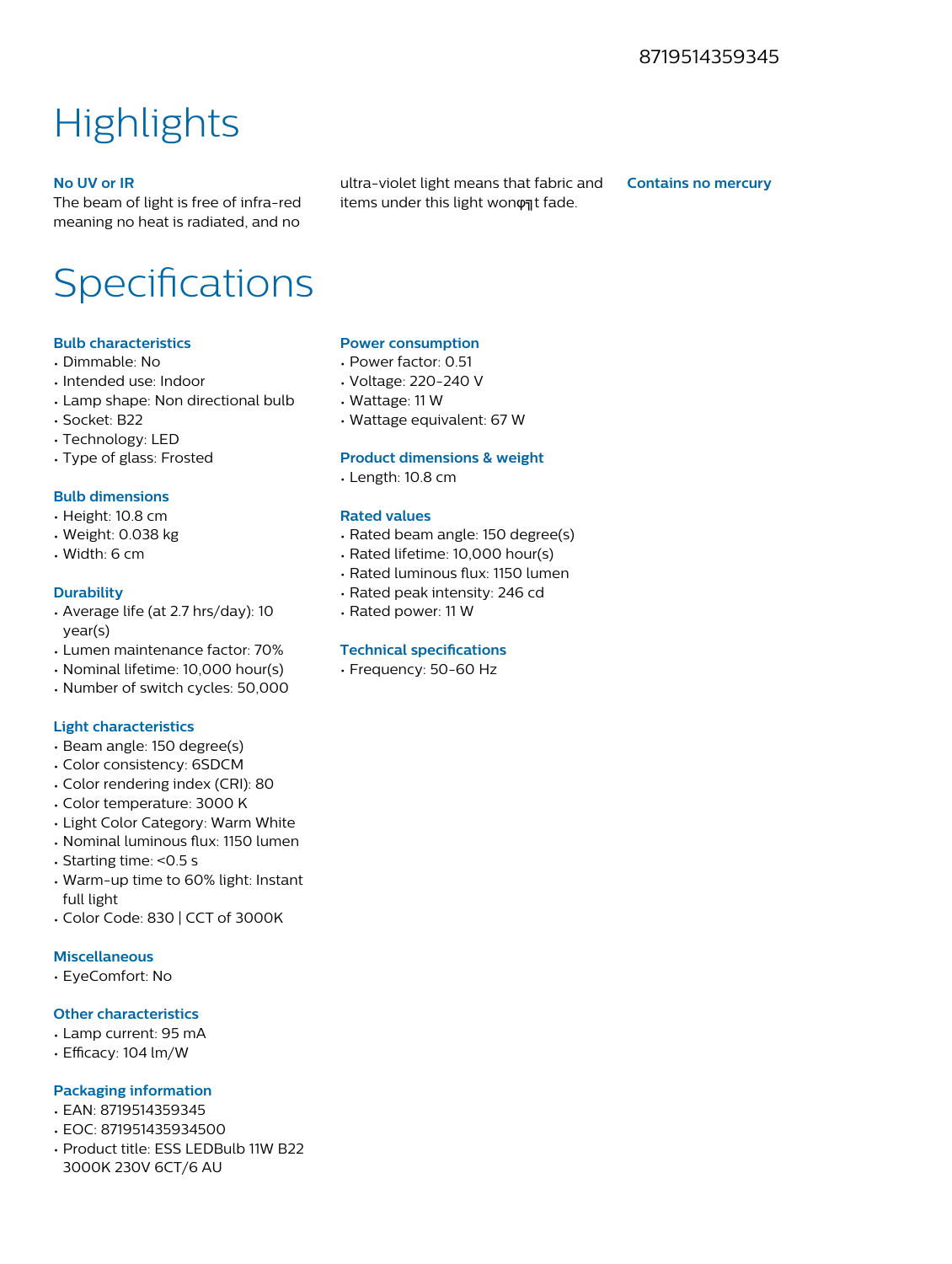### **Highlights**

#### **No UV or IR**

The beam of light is free of infra-red meaning no heat is radiated, and no ultra-violet light means that fabric and items under this light wonont fade.

**Contains no mercury**

### Specifications

#### **Bulb characteristics**

- Dimmable: No
- Intended use: Indoor
- Lamp shape: Non directional bulb
- Socket: B22
- Technology: LED
- Type of glass: Frosted

#### **Bulb dimensions**

- Height: 10.8 cm
- Weight: 0.038 kg
- Width: 6 cm

#### **Durability**

- Average life (at 2.7 hrs/day): 10 year(s)
- Lumen maintenance factor: 70%
- Nominal lifetime: 10,000 hour(s)
- Number of switch cycles: 50,000

#### **Light characteristics**

- Beam angle: 150 degree(s)
- Color consistency: 6SDCM
- Color rendering index (CRI): 80
- Color temperature: 3000 K
- Light Color Category: Warm White
- Nominal luminous flux: 1150 lumen
- Starting time: <0.5 s
- Warm-up time to 60% light: Instant full light
- Color Code: 830 | CCT of 3000K

#### **Miscellaneous**

• EyeComfort: No

#### **Other characteristics**

- Lamp current: 95 mA
- Efficacy: 104 lm/W

#### **Packaging information**

- EAN: 8719514359345
- EOC: 871951435934500
- Product title: ESS LEDBulb 11W B22 3000K 230V 6CT/6 AU

#### **Power consumption**

- Power factor: 0.51
- Voltage: 220-240 V
- Wattage: 11 W
- Wattage equivalent: 67 W

#### **Product dimensions & weight**

• Length: 10.8 cm

#### **Rated values**

- Rated beam angle: 150 degree(s)
- Rated lifetime: 10,000 hour(s)
- Rated luminous flux: 1150 lumen
- Rated peak intensity: 246 cd
- Rated power: 11 W

#### **Technical specifications**

• Frequency: 50-60 Hz